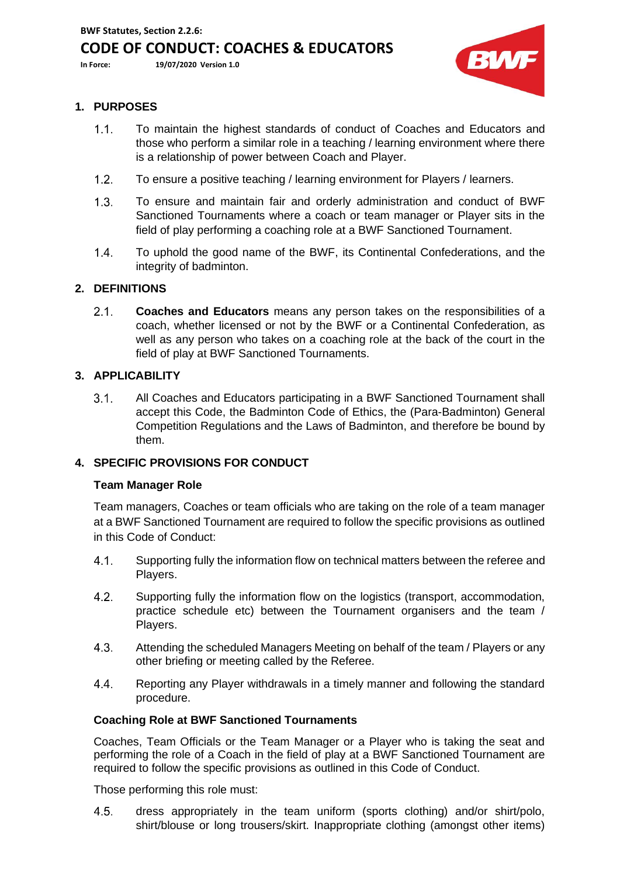# **CODE OF CONDUCT: COACHES & EDUCATORS**

**In Force: 19/07/2020 Version 1.0**



## **1. PURPOSES**

- To maintain the highest standards of conduct of Coaches and Educators and  $1.1.$ those who perform a similar role in a teaching / learning environment where there is a relationship of power between Coach and Player.
- $1.2.$ To ensure a positive teaching / learning environment for Players / learners.
- $1.3.$ To ensure and maintain fair and orderly administration and conduct of BWF Sanctioned Tournaments where a coach or team manager or Player sits in the field of play performing a coaching role at a BWF Sanctioned Tournament.
- $1.4.$ To uphold the good name of the BWF, its Continental Confederations, and the integrity of badminton.

### **2. DEFINITIONS**

 $2.1.$ **Coaches and Educators** means any person takes on the responsibilities of a coach, whether licensed or not by the BWF or a Continental Confederation, as well as any person who takes on a coaching role at the back of the court in the field of play at BWF Sanctioned Tournaments.

### **3. APPLICABILITY**

 $3.1.$ All Coaches and Educators participating in a BWF Sanctioned Tournament shall accept this Code, the Badminton Code of Ethics, the (Para-Badminton) General Competition Regulations and the Laws of Badminton, and therefore be bound by them.

### **4. SPECIFIC PROVISIONS FOR CONDUCT**

### **Team Manager Role**

Team managers, Coaches or team officials who are taking on the role of a team manager at a BWF Sanctioned Tournament are required to follow the specific provisions as outlined in this Code of Conduct:

- $4.1.$ Supporting fully the information flow on technical matters between the referee and Players.
- $4.2.$ Supporting fully the information flow on the logistics (transport, accommodation, practice schedule etc) between the Tournament organisers and the team / Players.
- $4.3.$ Attending the scheduled Managers Meeting on behalf of the team / Players or any other briefing or meeting called by the Referee.
- 44. Reporting any Player withdrawals in a timely manner and following the standard procedure.

### **Coaching Role at BWF Sanctioned Tournaments**

Coaches, Team Officials or the Team Manager or a Player who is taking the seat and performing the role of a Coach in the field of play at a BWF Sanctioned Tournament are required to follow the specific provisions as outlined in this Code of Conduct.

Those performing this role must:

 $4.5.$ dress appropriately in the team uniform (sports clothing) and/or shirt/polo, shirt/blouse or long trousers/skirt. Inappropriate clothing (amongst other items)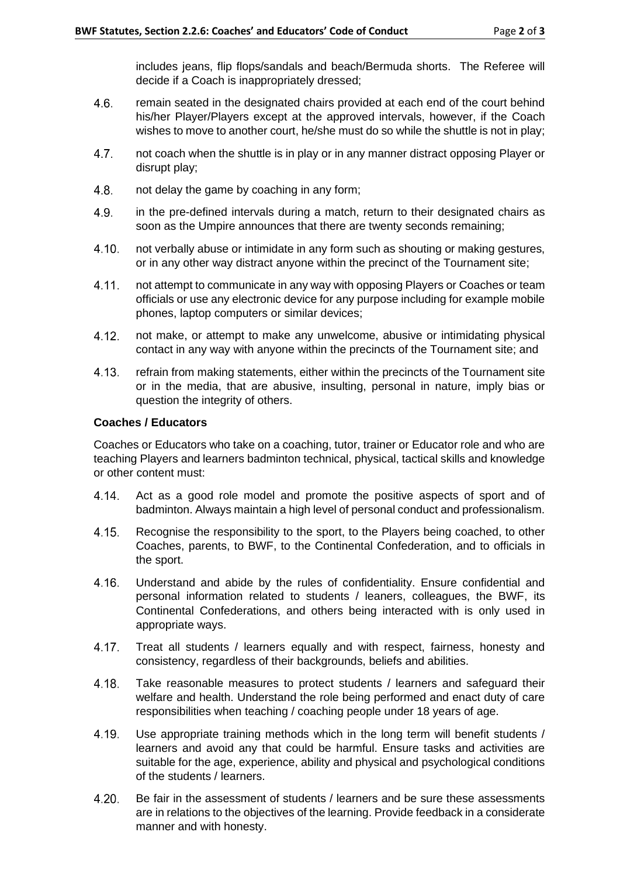includes jeans, flip flops/sandals and beach/Bermuda shorts. The Referee will decide if a Coach is inappropriately dressed;

- $4.6.$ remain seated in the designated chairs provided at each end of the court behind his/her Player/Players except at the approved intervals, however, if the Coach wishes to move to another court, he/she must do so while the shuttle is not in play;
- 4.7. not coach when the shuttle is in play or in any manner distract opposing Player or disrupt play;
- $4.8.$ not delay the game by coaching in any form;
- $4.9.$ in the pre-defined intervals during a match, return to their designated chairs as soon as the Umpire announces that there are twenty seconds remaining;
- $4.10.$ not verbally abuse or intimidate in any form such as shouting or making gestures, or in any other way distract anyone within the precinct of the Tournament site;
- $4.11.$ not attempt to communicate in any way with opposing Players or Coaches or team officials or use any electronic device for any purpose including for example mobile phones, laptop computers or similar devices;
- $4.12.$ not make, or attempt to make any unwelcome, abusive or intimidating physical contact in any way with anyone within the precincts of the Tournament site; and
- $4.13.$ refrain from making statements, either within the precincts of the Tournament site or in the media, that are abusive, insulting, personal in nature, imply bias or question the integrity of others.

### **Coaches / Educators**

Coaches or Educators who take on a coaching, tutor, trainer or Educator role and who are teaching Players and learners badminton technical, physical, tactical skills and knowledge or other content must:

- $4.14.$ Act as a good role model and promote the positive aspects of sport and of badminton. Always maintain a high level of personal conduct and professionalism.
- $4.15.$ Recognise the responsibility to the sport, to the Players being coached, to other Coaches, parents, to BWF, to the Continental Confederation, and to officials in the sport.
- $4.16.$ Understand and abide by the rules of confidentiality. Ensure confidential and personal information related to students / leaners, colleagues, the BWF, its Continental Confederations, and others being interacted with is only used in appropriate ways.
- $4.17.$ Treat all students / learners equally and with respect, fairness, honesty and consistency, regardless of their backgrounds, beliefs and abilities.
- $4.18.$ Take reasonable measures to protect students / learners and safeguard their welfare and health. Understand the role being performed and enact duty of care responsibilities when teaching / coaching people under 18 years of age.
- 4.19. Use appropriate training methods which in the long term will benefit students / learners and avoid any that could be harmful. Ensure tasks and activities are suitable for the age, experience, ability and physical and psychological conditions of the students / learners.
- $4.20.$ Be fair in the assessment of students / learners and be sure these assessments are in relations to the objectives of the learning. Provide feedback in a considerate manner and with honesty.